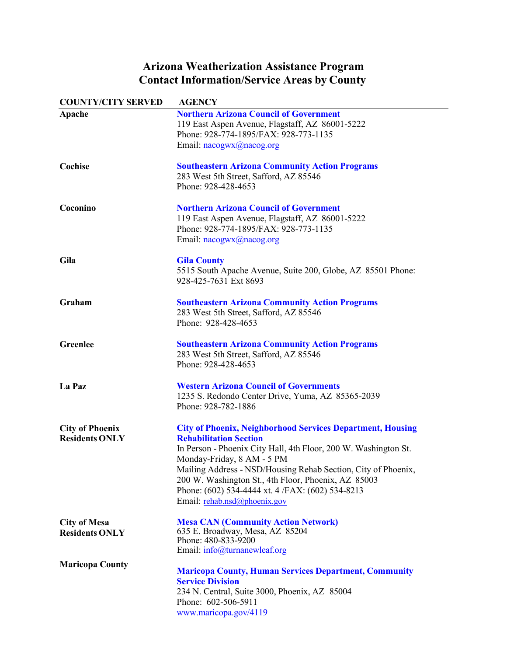## **Arizona Weatherization Assistance Program Contact Information/Service Areas by County**

| <b>COUNTY/CITY SERVED</b>                       | <b>AGENCY</b>                                                                                                                                                                                                                                                                                                                                                                                                   |
|-------------------------------------------------|-----------------------------------------------------------------------------------------------------------------------------------------------------------------------------------------------------------------------------------------------------------------------------------------------------------------------------------------------------------------------------------------------------------------|
| Apache                                          | <b>Northern Arizona Council of Government</b><br>119 East Aspen Avenue, Flagstaff, AZ 86001-5222<br>Phone: 928-774-1895/FAX: 928-773-1135<br>Email: nacogwx@nacog.org                                                                                                                                                                                                                                           |
| Cochise                                         | <b>Southeastern Arizona Community Action Programs</b><br>283 West 5th Street, Safford, AZ 85546<br>Phone: 928-428-4653                                                                                                                                                                                                                                                                                          |
| Coconino                                        | <b>Northern Arizona Council of Government</b><br>119 East Aspen Avenue, Flagstaff, AZ 86001-5222<br>Phone: 928-774-1895/FAX: 928-773-1135<br>Email: nacogwx@nacog.org                                                                                                                                                                                                                                           |
| Gila                                            | <b>Gila County</b><br>5515 South Apache Avenue, Suite 200, Globe, AZ 85501 Phone:<br>928-425-7631 Ext 8693                                                                                                                                                                                                                                                                                                      |
| Graham                                          | <b>Southeastern Arizona Community Action Programs</b><br>283 West 5th Street, Safford, AZ 85546<br>Phone: 928-428-4653                                                                                                                                                                                                                                                                                          |
| <b>Greenlee</b>                                 | <b>Southeastern Arizona Community Action Programs</b><br>283 West 5th Street, Safford, AZ 85546<br>Phone: 928-428-4653                                                                                                                                                                                                                                                                                          |
| La Paz                                          | <b>Western Arizona Council of Governments</b><br>1235 S. Redondo Center Drive, Yuma, AZ 85365-2039<br>Phone: 928-782-1886                                                                                                                                                                                                                                                                                       |
| <b>City of Phoenix</b><br><b>Residents ONLY</b> | <b>City of Phoenix, Neighborhood Services Department, Housing</b><br><b>Rehabilitation Section</b><br>In Person - Phoenix City Hall, 4th Floor, 200 W. Washington St.<br>Monday-Friday, 8 AM - 5 PM<br>Mailing Address - NSD/Housing Rehab Section, City of Phoenix,<br>200 W. Washington St., 4th Floor, Phoenix, AZ 85003<br>Phone: (602) 534-4444 xt. 4 /FAX: (602) 534-8213<br>Email: rehab.nsd@phoenix.gov |
| <b>City of Mesa</b><br><b>Residents ONLY</b>    | <b>Mesa CAN (Community Action Network)</b><br>635 E. Broadway, Mesa, AZ 85204<br>Phone: 480-833-9200<br>Email: info@turnanewleaf.org                                                                                                                                                                                                                                                                            |
| <b>Maricopa County</b>                          | <b>Maricopa County, Human Services Department, Community</b><br><b>Service Division</b><br>234 N. Central, Suite 3000, Phoenix, AZ 85004<br>Phone: 602-506-5911<br>www.maricopa.gov/4119                                                                                                                                                                                                                        |